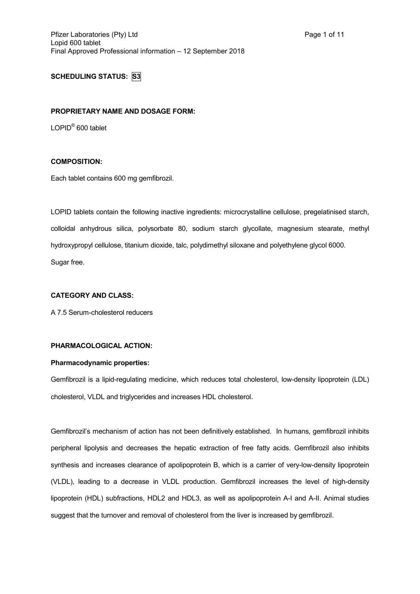# **SCHEDULING STATUS: S3**

#### **PROPRIETARY NAME AND DOSAGE FORM:**

LOPID<sup>®</sup> 600 tablet

## **COMPOSITION:**

Each tablet contains 600 mg gemfibrozil.

LOPID tablets contain the following inactive ingredients: microcrystalline cellulose, pregelatinised starch, colloidal anhydrous silica, polysorbate 80, sodium starch glycollate, magnesium stearate, methyl hydroxypropyl cellulose, titanium dioxide, talc, polydimethyl siloxane and polyethylene glycol 6000. Sugar free.

### **CATEGORY AND CLASS:**

A 7.5 Serum-cholesterol reducers

## **PHARMACOLOGICAL ACTION:**

### **Pharmacodynamic properties:**

Gemfibrozil is a lipid-regulating medicine, which reduces total cholesterol, low-density lipoprotein (LDL) cholesterol, VLDL and triglycerides and increases HDL cholesterol.

Gemfibrozil's mechanism of action has not been definitively established. In humans, gemfibrozil inhibits peripheral lipolysis and decreases the hepatic extraction of free fatty acids. Gemfibrozil also inhibits synthesis and increases clearance of apolipoprotein B, which is a carrier of very-low-density lipoprotein (VLDL), leading to a decrease in VLDL production. Gemfibrozil increases the level of high-density lipoprotein (HDL) subfractions, HDL2 and HDL3, as well as apolipoprotein A-I and A-II. Animal studies suggest that the turnover and removal of cholesterol from the liver is increased by gemfibrozil.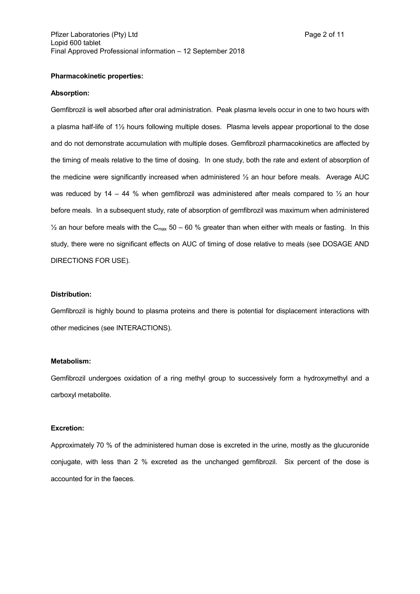#### **Absorption:**

Gemfibrozil is well absorbed after oral administration. Peak plasma levels occur in one to two hours with a plasma half-life of 1½ hours following multiple doses. Plasma levels appear proportional to the dose and do not demonstrate accumulation with multiple doses. Gemfibrozil pharmacokinetics are affected by the timing of meals relative to the time of dosing. In one study, both the rate and extent of absorption of the medicine were significantly increased when administered ½ an hour before meals. Average AUC was reduced by 14 – 44 % when gemfibrozil was administered after meals compared to  $\frac{1}{2}$  an hour before meals. In a subsequent study, rate of absorption of gemfibrozil was maximum when administered  $\frac{1}{2}$  an hour before meals with the C<sub>max</sub> 50 – 60 % greater than when either with meals or fasting. In this study, there were no significant effects on AUC of timing of dose relative to meals (see DOSAGE AND DIRECTIONS FOR USE).

#### **Distribution:**

Gemfibrozil is highly bound to plasma proteins and there is potential for displacement interactions with other medicines (see INTERACTIONS).

#### **Metabolism:**

Gemfibrozil undergoes oxidation of a ring methyl group to successively form a hydroxymethyl and a carboxyl metabolite.

#### **Excretion:**

Approximately 70 % of the administered human dose is excreted in the urine, mostly as the glucuronide conjugate, with less than 2 % excreted as the unchanged gemfibrozil. Six percent of the dose is accounted for in the faeces.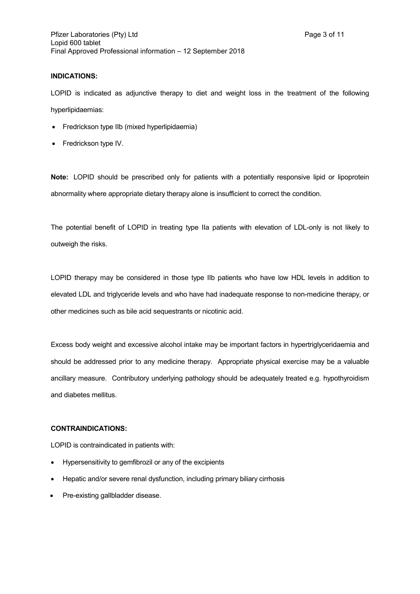## **INDICATIONS:**

LOPID is indicated as adjunctive therapy to diet and weight loss in the treatment of the following hyperlipidaemias:

- Fredrickson type IIb (mixed hyperlipidaemia)
- Fredrickson type IV.

**Note:** LOPID should be prescribed only for patients with a potentially responsive lipid or lipoprotein abnormality where appropriate dietary therapy alone is insufficient to correct the condition.

The potential benefit of LOPID in treating type IIa patients with elevation of LDL-only is not likely to outweigh the risks.

LOPID therapy may be considered in those type IIb patients who have low HDL levels in addition to elevated LDL and triglyceride levels and who have had inadequate response to non-medicine therapy, or other medicines such as bile acid sequestrants or nicotinic acid.

Excess body weight and excessive alcohol intake may be important factors in hypertriglyceridaemia and should be addressed prior to any medicine therapy. Appropriate physical exercise may be a valuable ancillary measure. Contributory underlying pathology should be adequately treated e.g. hypothyroidism and diabetes mellitus.

## **CONTRAINDICATIONS:**

LOPID is contraindicated in patients with:

- Hypersensitivity to gemfibrozil or any of the excipients
- Hepatic and/or severe renal dysfunction, including primary biliary cirrhosis
- Pre-existing gallbladder disease.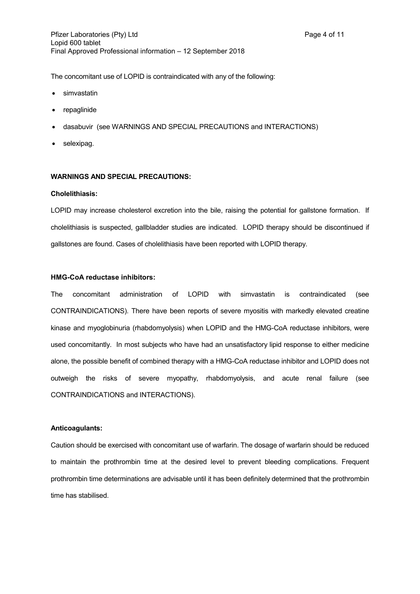The concomitant use of LOPID is contraindicated with any of the following:

- simvastatin
- repaglinide
- $\bullet$  dasabuvir (see WARNINGS AND SPECIAL PRECAUTIONS and INTERACTIONS)
- selexipag.

## **WARNINGS AND SPECIAL PRECAUTIONS:**

#### **Cholelithiasis:**

LOPID may increase cholesterol excretion into the bile, raising the potential for gallstone formation. If cholelithiasis is suspected, gallbladder studies are indicated. LOPID therapy should be discontinued if gallstones are found. Cases of cholelithiasis have been reported with LOPID therapy.

#### **HMG-CoA reductase inhibitors:**

The concomitant administration of LOPID with simvastatin is contraindicated (see CONTRAINDICATIONS). There have been reports of severe myositis with markedly elevated creatine kinase and myoglobinuria (rhabdomyolysis) when LOPID and the HMG-CoA reductase inhibitors, were used concomitantly. In most subjects who have had an unsatisfactory lipid response to either medicine alone, the possible benefit of combined therapy with a HMG-CoA reductase inhibitor and LOPID does not outweigh the risks of severe myopathy, rhabdomyolysis, and acute renal failure (see CONTRAINDICATIONS and INTERACTIONS).

### **Anticoagulants:**

Caution should be exercised with concomitant use of warfarin. The dosage of warfarin should be reduced to maintain the prothrombin time at the desired level to prevent bleeding complications. Frequent prothrombin time determinations are advisable until it has been definitely determined that the prothrombin time has stabilised.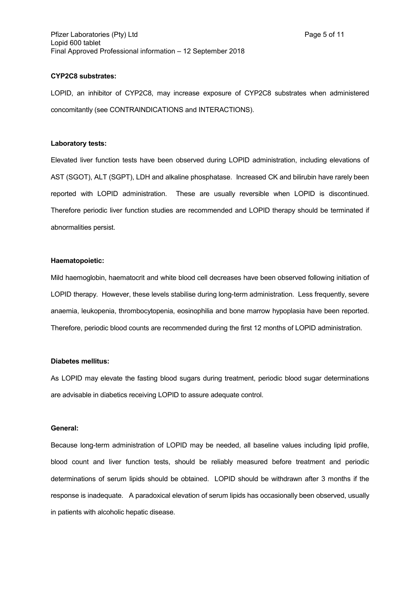#### **CYP2C8 substrates:**

LOPID, an inhibitor of CYP2C8, may increase exposure of CYP2C8 substrates when administered concomitantly (see CONTRAINDICATIONS and INTERACTIONS).

### **Laboratory tests:**

Elevated liver function tests have been observed during LOPID administration, including elevations of AST (SGOT), ALT (SGPT), LDH and alkaline phosphatase. Increased CK and bilirubin have rarely been reported with LOPID administration. These are usually reversible when LOPID is discontinued. Therefore periodic liver function studies are recommended and LOPID therapy should be terminated if abnormalities persist.

### **Haematopoietic:**

Mild haemoglobin, haematocrit and white blood cell decreases have been observed following initiation of LOPID therapy. However, these levels stabilise during long-term administration. Less frequently, severe anaemia, leukopenia, thrombocytopenia, eosinophilia and bone marrow hypoplasia have been reported. Therefore, periodic blood counts are recommended during the first 12 months of LOPID administration.

#### **Diabetes mellitus:**

As LOPID may elevate the fasting blood sugars during treatment, periodic blood sugar determinations are advisable in diabetics receiving LOPID to assure adequate control.

#### **General:**

Because long-term administration of LOPID may be needed, all baseline values including lipid profile, blood count and liver function tests, should be reliably measured before treatment and periodic determinations of serum lipids should be obtained. LOPID should be withdrawn after 3 months if the response is inadequate. A paradoxical elevation of serum lipids has occasionally been observed, usually in patients with alcoholic hepatic disease.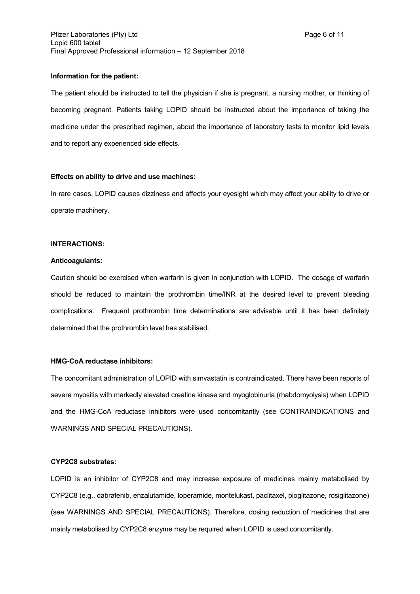#### **Information for the patient:**

The patient should be instructed to tell the physician if she is pregnant, a nursing mother, or thinking of becoming pregnant. Patients taking LOPID should be instructed about the importance of taking the medicine under the prescribed regimen, about the importance of laboratory tests to monitor lipid levels and to report any experienced side effects.

#### **Effects on ability to drive and use machines:**

In rare cases, LOPID causes dizziness and affects your eyesight which may affect your ability to drive or operate machinery.

### **INTERACTIONS:**

#### **Anticoagulants:**

Caution should be exercised when warfarin is given in conjunction with LOPID. The dosage of warfarin should be reduced to maintain the prothrombin time/INR at the desired level to prevent bleeding complications. Frequent prothrombin time determinations are advisable until it has been definitely determined that the prothrombin level has stabilised.

## **HMG-CoA reductase inhibitors:**

The concomitant administration of LOPID with simvastatin is contraindicated. There have been reports of severe myositis with markedly elevated creatine kinase and myoglobinuria (rhabdomyolysis) when LOPID and the HMG-CoA reductase inhibitors were used concomitantly (see CONTRAINDICATIONS and WARNINGS AND SPECIAL PRECAUTIONS).

#### **CYP2C8 substrates:**

LOPID is an inhibitor of CYP2C8 and may increase exposure of medicines mainly metabolised by CYP2C8 (e.g., dabrafenib, enzalutamide, loperamide, montelukast, paclitaxel, pioglitazone, rosiglitazone) (see WARNINGS AND SPECIAL PRECAUTIONS). Therefore, dosing reduction of medicines that are mainly metabolised by CYP2C8 enzyme may be required when LOPID is used concomitantly.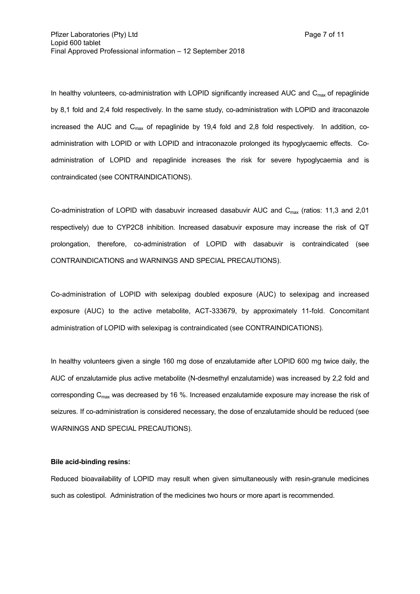In healthy volunteers, co-administration with LOPID significantly increased AUC and  $C_{\text{max}}$  of repaglinide by 8,1 fold and 2,4 fold respectively. In the same study, co-administration with LOPID and itraconazole increased the AUC and  $C_{\text{max}}$  of repaglinide by 19,4 fold and 2,8 fold respectively. In addition, coadministration with LOPID or with LOPID and intraconazole prolonged its hypoglycaemic effects. Coadministration of LOPID and repaglinide increases the risk for severe hypoglycaemia and is contraindicated (see CONTRAINDICATIONS).

Co-administration of LOPID with dasabuvir increased dasabuvir AUC and  $C_{\text{max}}$  (ratios: 11,3 and 2,01 respectively) due to CYP2C8 inhibition. Increased dasabuvir exposure may increase the risk of QT prolongation, therefore, co-administration of LOPID with dasabuvir is contraindicated (see CONTRAINDICATIONS and WARNINGS AND SPECIAL PRECAUTIONS).

Co-administration of LOPID with selexipag doubled exposure (AUC) to selexipag and increased exposure (AUC) to the active metabolite, ACT-333679, by approximately 11-fold. Concomitant administration of LOPID with selexipag is contraindicated (see CONTRAINDICATIONS).

In healthy volunteers given a single 160 mg dose of enzalutamide after LOPID 600 mg twice daily, the AUC of enzalutamide plus active metabolite (N-desmethyl enzalutamide) was increased by 2,2 fold and corresponding  $C_{\text{max}}$  was decreased by 16 %. Increased enzalutamide exposure may increase the risk of seizures. If co-administration is considered necessary, the dose of enzalutamide should be reduced (see WARNINGS AND SPECIAL PRECAUTIONS).

#### **Bile acid-binding resins:**

Reduced bioavailability of LOPID may result when given simultaneously with resin-granule medicines such as colestipol. Administration of the medicines two hours or more apart is recommended.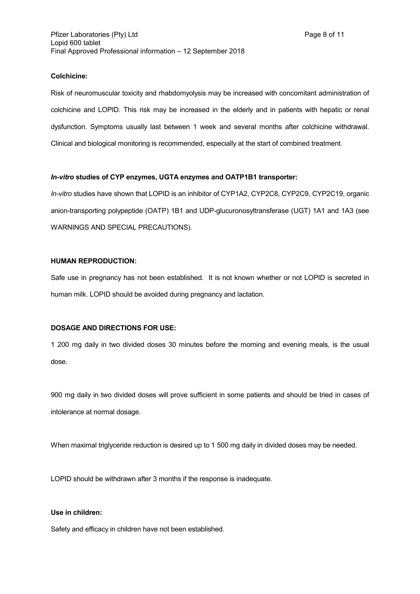## **Colchicine:**

Risk of neuromuscular toxicity and rhabdomyolysis may be increased with concomitant administration of colchicine and LOPID. This risk may be increased in the elderly and in patients with hepatic or renal dysfunction. Symptoms usually last between 1 week and several months after colchicine withdrawal. Clinical and biological monitoring is recommended, especially at the start of combined treatment.

#### *In-vitro* **studies of CYP enzymes, UGTA enzymes and OATP1B1 transporter:**

*In-vitro* studies have shown that LOPID is an inhibitor of CYP1A2, CYP2C8, CYP2C9, CYP2C19, organic anion-transporting polypeptide (OATP) 1B1 and UDP-glucuronosyltransferase (UGT) 1A1 and 1A3 (see WARNINGS AND SPECIAL PRECAUTIONS).

## **HUMAN REPRODUCTION:**

Safe use in pregnancy has not been established. It is not known whether or not LOPID is secreted in human milk. LOPID should be avoided during pregnancy and lactation.

## **DOSAGE AND DIRECTIONS FOR USE:**

1 200 mg daily in two divided doses 30 minutes before the morning and evening meals, is the usual dose.

900 mg daily in two divided doses will prove sufficient in some patients and should be tried in cases of intolerance at normal dosage.

When maximal triglyceride reduction is desired up to 1 500 mg daily in divided doses may be needed.

LOPID should be withdrawn after 3 months if the response is inadequate.

### **Use in children:**

Safety and efficacy in children have not been established.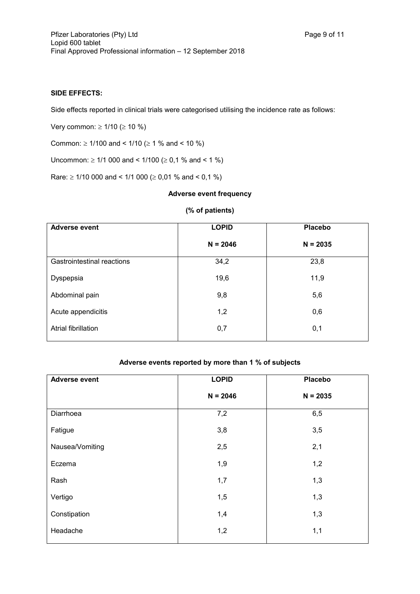## **SIDE EFFECTS:**

Side effects reported in clinical trials were categorised utilising the incidence rate as follows:

Very common:  $\geq 1/10$  ( $\geq 10 \%$ )

Common:  $\geq$  1/100 and < 1/10 ( $\geq$  1 % and < 10 %)

Uncommon:  $\geq$  1/1 000 and < 1/100 ( $\geq$  0,1 % and < 1 %)

Rare:  $\geq$  1/10 000 and < 1/1 000 ( $\geq$  0,01 % and < 0,1 %)

### **Adverse event frequency**

### **(% of patients)**

| <b>Adverse event</b>              | <b>LOPID</b> | <b>Placebo</b> |
|-----------------------------------|--------------|----------------|
|                                   | $N = 2046$   | $N = 2035$     |
| <b>Gastrointestinal reactions</b> | 34,2         | 23,8           |
| Dyspepsia                         | 19,6         | 11,9           |
| Abdominal pain                    | 9,8          | 5,6            |
| Acute appendicitis                | 1,2          | 0,6            |
| Atrial fibrillation               | 0,7          | 0,1            |

# **Adverse events reported by more than 1 % of subjects**

| <b>Adverse event</b> | <b>LOPID</b> | <b>Placebo</b> |
|----------------------|--------------|----------------|
|                      | $N = 2046$   | $N = 2035$     |
| Diarrhoea            | 7,2          | 6,5            |
| Fatigue              | 3,8          | 3,5            |
| Nausea/Vomiting      | 2,5          | 2,1            |
| Eczema               | 1,9          | 1,2            |
| Rash                 | 1,7          | 1,3            |
| Vertigo              | 1,5          | 1,3            |
| Constipation         | 1,4          | 1,3            |
| Headache             | 1,2          | 1,1            |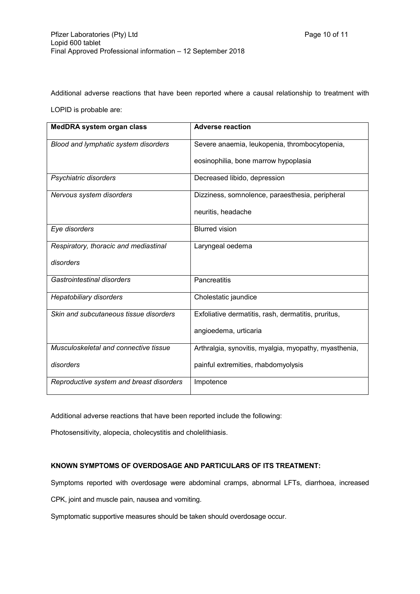Additional adverse reactions that have been reported where a causal relationship to treatment with

LOPID is probable are:

| <b>MedDRA system organ class</b>         | <b>Adverse reaction</b>                               |
|------------------------------------------|-------------------------------------------------------|
| Blood and lymphatic system disorders     | Severe anaemia, leukopenia, thrombocytopenia,         |
|                                          | eosinophilia, bone marrow hypoplasia                  |
| Psychiatric disorders                    | Decreased libido, depression                          |
| Nervous system disorders                 | Dizziness, somnolence, paraesthesia, peripheral       |
|                                          | neuritis, headache                                    |
| Eye disorders                            | <b>Blurred vision</b>                                 |
| Respiratory, thoracic and mediastinal    | Laryngeal oedema                                      |
| disorders                                |                                                       |
| Gastrointestinal disorders               | Pancreatitis                                          |
| <b>Hepatobiliary disorders</b>           | Cholestatic jaundice                                  |
| Skin and subcutaneous tissue disorders   | Exfoliative dermatitis, rash, dermatitis, pruritus,   |
|                                          | angioedema, urticaria                                 |
| Musculoskeletal and connective tissue    | Arthralgia, synovitis, myalgia, myopathy, myasthenia, |
| disorders                                | painful extremities, rhabdomyolysis                   |
| Reproductive system and breast disorders | Impotence                                             |

Additional adverse reactions that have been reported include the following:

Photosensitivity, alopecia, cholecystitis and cholelithiasis.

## **KNOWN SYMPTOMS OF OVERDOSAGE AND PARTICULARS OF ITS TREATMENT:**

Symptoms reported with overdosage were abdominal cramps, abnormal LFTs, diarrhoea, increased

CPK, joint and muscle pain, nausea and vomiting.

Symptomatic supportive measures should be taken should overdosage occur.